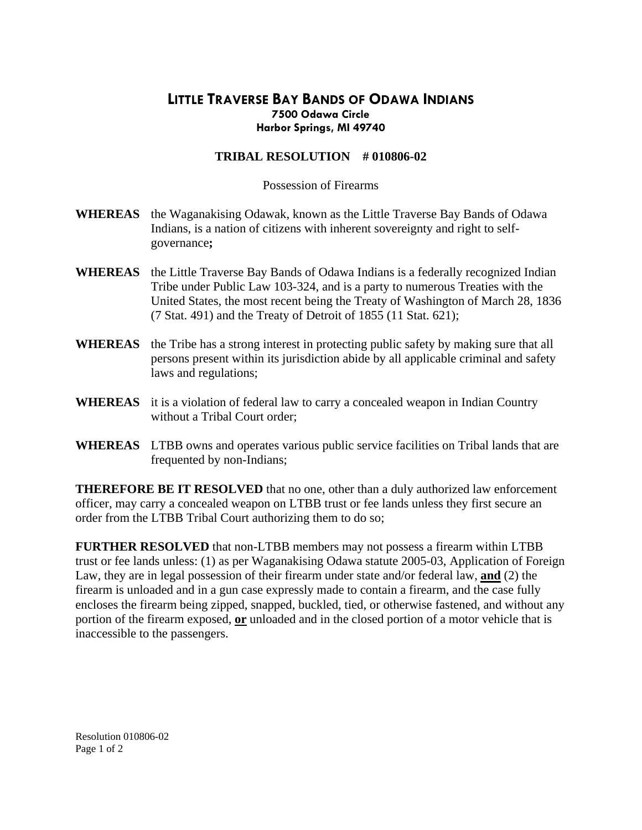## **LITTLE TRAVERSE BAY BANDS OF ODAWA INDIANS Harbor Springs, MI 49740 7500 Odawa Circle**

## **TRIBAL RESOLUTION # 010806-02**

Possession of Firearms

- **WHEREAS** the Waganakising Odawak, known as the Little Traverse Bay Bands of Odawa Indians, is a nation of citizens with inherent sovereignty and right to selfgovernance**;**
- WHEREAS the Little Traverse Bay Bands of Odawa Indians is a federally recognized Indian United States, the most recent being the Treaty of Washington of March 28, 1836 (7 Stat. 491) and the Treaty of Detroit of 1855 (11 Stat. 621); Tribe under Public Law 103-324, and is a party to numerous Treaties with the
- WHEREAS the Tribe has a strong interest in protecting public safety by making sure that all persons present within its jurisdiction abide by all applicable criminal and safety laws and regulations;
- **WHEREAS** it is a violation of federal law to carry a concealed weapon in Indian Country without a Tribal Court order;
- WHEREAS LTBB owns and operates various public service facilities on Tribal lands that are frequented by non-Indians;

**THEREFORE BE IT RESOLVED** that no one, other than a duly authorized law enforcement officer, may carry a concealed weapon on LTBB trust or fee lands unless they first secure an order from the LTBB Tribal Court authorizing them to do so;

trust or fee lands unless: (1) as per Waganakising Odawa statute 2005-03, Application of Foreign **FURTHER RESOLVED** that non-LTBB members may not possess a firearm within LTBB Law, they are in legal possession of their firearm under state and/or federal law, **and** (2) the firearm is unloaded and in a gun case expressly made to contain a firearm, and the case fully encloses the firearm being zipped, snapped, buckled, tied, or otherwise fastened, and without any portion of the firearm exposed, **or** unloaded and in the closed portion of a motor vehicle that is inaccessible to the passengers.

Resolution 010806-02 Page 1 of 2